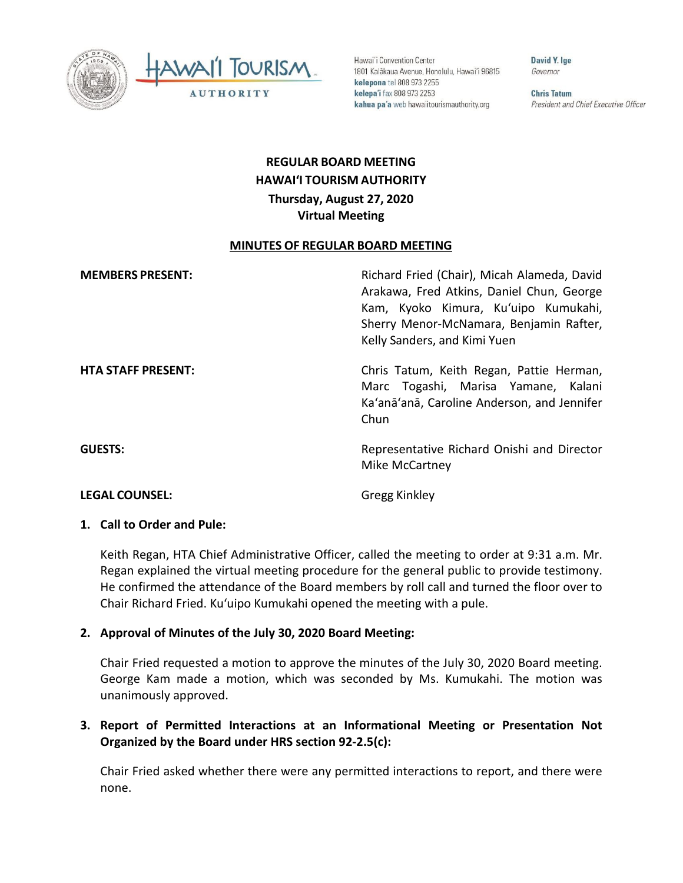



Hawai'i Convention Center 1801 Kalākaua Avenue, Honolulu, Hawai'i 96815 kelepona tel 808 973 2255 kelepa'i fax 808 973 2253 kahua pa'a web hawaiitourismauthority.org

David Y. Ige Governor

**Chris Tatum** President and Chief Executive Officer

# **REGULAR BOARD MEETING HAWAI'I TOURISM AUTHORITY Thursday, August 27, 2020 Virtual Meeting**

#### **MINUTES OF REGULAR BOARD MEETING**

| <b>MEMBERS PRESENT:</b>   | Richard Fried (Chair), Micah Alameda, David<br>Arakawa, Fred Atkins, Daniel Chun, George<br>Kam, Kyoko Kimura, Ku'uipo Kumukahi,<br>Sherry Menor-McNamara, Benjamin Rafter,<br>Kelly Sanders, and Kimi Yuen |
|---------------------------|-------------------------------------------------------------------------------------------------------------------------------------------------------------------------------------------------------------|
| <b>HTA STAFF PRESENT:</b> | Chris Tatum, Keith Regan, Pattie Herman,<br>Marc Togashi, Marisa Yamane, Kalani<br>Ka'anā'anā, Caroline Anderson, and Jennifer<br>Chun                                                                      |
| <b>GUESTS:</b>            | Representative Richard Onishi and Director<br>Mike McCartney                                                                                                                                                |
| <b>LEGAL COUNSEL:</b>     | <b>Gregg Kinkley</b>                                                                                                                                                                                        |

#### **1. Call to Order and Pule:**

Keith Regan, HTA Chief Administrative Officer, called the meeting to order at 9:31 a.m. Mr. Regan explained the virtual meeting procedure for the general public to provide testimony. He confirmed the attendance of the Board members by roll call and turned the floor over to Chair Richard Fried. Kuʻuipo Kumukahi opened the meeting with a pule.

### **2. Approval of Minutes of the July 30, 2020 Board Meeting:**

Chair Fried requested a motion to approve the minutes of the July 30, 2020 Board meeting. George Kam made a motion, which was seconded by Ms. Kumukahi. The motion was unanimously approved.

## **3. Report of Permitted Interactions at an Informational Meeting or Presentation Not Organized by the Board under HRS section 92-2.5(c):**

Chair Fried asked whether there were any permitted interactions to report, and there were none.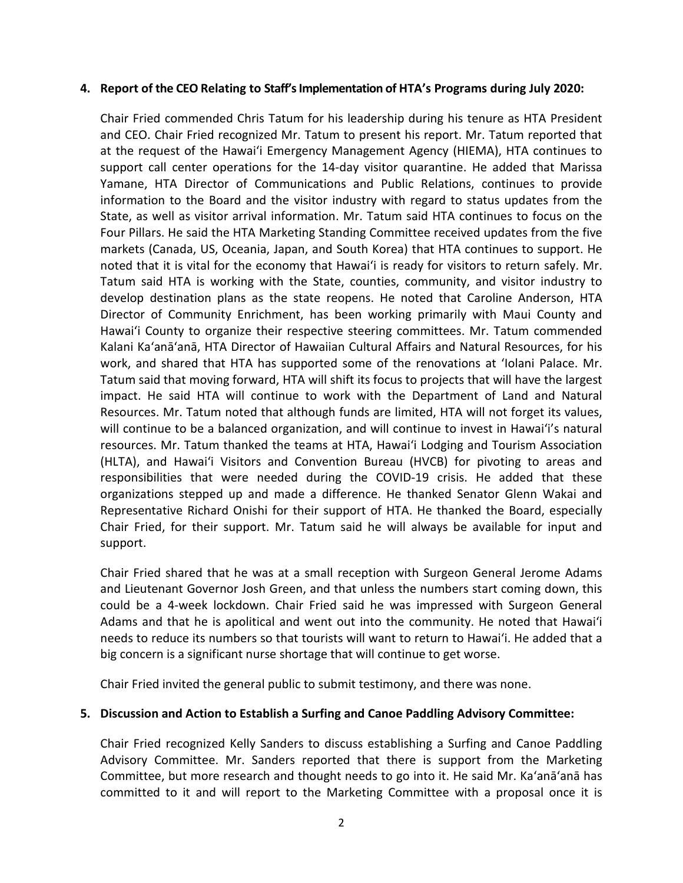#### **4. Report of the CEO Relating to Staff's Implementation of HTA's Programs during July 2020:**

Chair Fried commended Chris Tatum for his leadership during his tenure as HTA President and CEO. Chair Fried recognized Mr. Tatum to present his report. Mr. Tatum reported that at the request of the Hawai'i Emergency Management Agency (HIEMA), HTA continues to support call center operations for the 14-day visitor quarantine. He added that Marissa Yamane, HTA Director of Communications and Public Relations, continues to provide information to the Board and the visitor industry with regard to status updates from the State, as well as visitor arrival information. Mr. Tatum said HTA continues to focus on the Four Pillars. He said the HTA Marketing Standing Committee received updates from the five markets (Canada, US, Oceania, Japan, and South Korea) that HTA continues to support. He noted that it is vital for the economy that Hawai'i is ready for visitors to return safely. Mr. Tatum said HTA is working with the State, counties, community, and visitor industry to develop destination plans as the state reopens. He noted that Caroline Anderson, HTA Director of Community Enrichment, has been working primarily with Maui County and Hawai'i County to organize their respective steering committees. Mr. Tatum commended Kalani Ka'anā'anā, HTA Director of Hawaiian Cultural Affairs and Natural Resources, for his work, and shared that HTA has supported some of the renovations at 'Iolani Palace. Mr. Tatum said that moving forward, HTA will shift its focus to projects that will have the largest impact. He said HTA will continue to work with the Department of Land and Natural Resources. Mr. Tatum noted that although funds are limited, HTA will not forget its values, will continue to be a balanced organization, and will continue to invest in Hawai'i's natural resources. Mr. Tatum thanked the teams at HTA, Hawai'i Lodging and Tourism Association (HLTA), and Hawai'i Visitors and Convention Bureau (HVCB) for pivoting to areas and responsibilities that were needed during the COVID-19 crisis. He added that these organizations stepped up and made a difference. He thanked Senator Glenn Wakai and Representative Richard Onishi for their support of HTA. He thanked the Board, especially Chair Fried, for their support. Mr. Tatum said he will always be available for input and support.

Chair Fried shared that he was at a small reception with Surgeon General Jerome Adams and Lieutenant Governor Josh Green, and that unless the numbers start coming down, this could be a 4-week lockdown. Chair Fried said he was impressed with Surgeon General Adams and that he is apolitical and went out into the community. He noted that Hawai'i needs to reduce its numbers so that tourists will want to return to Hawai'i. He added that a big concern is a significant nurse shortage that will continue to get worse.

Chair Fried invited the general public to submit testimony, and there was none.

### **5. Discussion and Action to Establish a Surfing and Canoe Paddling Advisory Committee:**

Chair Fried recognized Kelly Sanders to discuss establishing a Surfing and Canoe Paddling Advisory Committee. Mr. Sanders reported that there is support from the Marketing Committee, but more research and thought needs to go into it. He said Mr. Ka'anā'anā has committed to it and will report to the Marketing Committee with a proposal once it is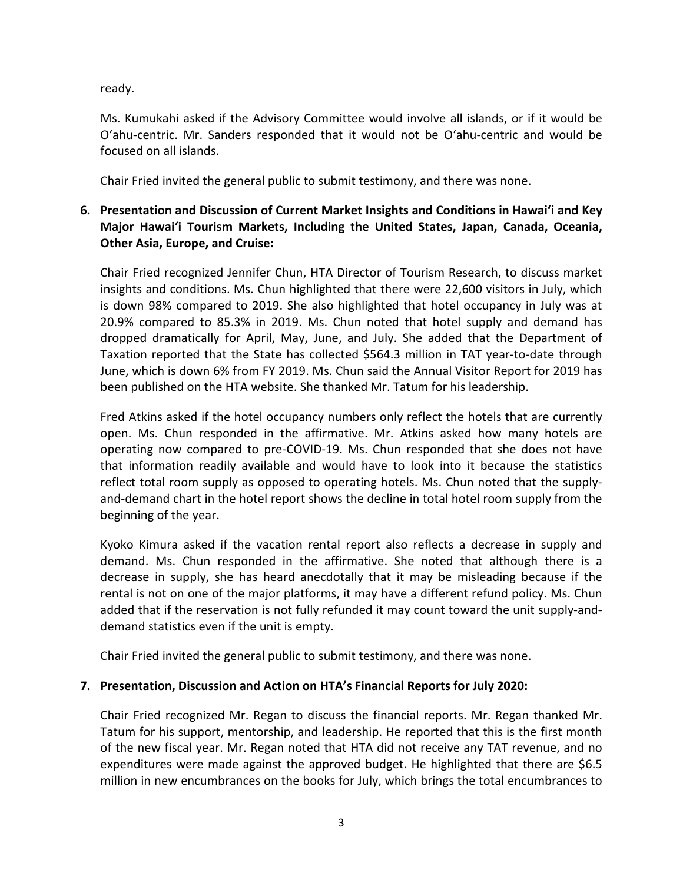ready.

Ms. Kumukahi asked if the Advisory Committee would involve all islands, or if it would be Oʻahu-centric. Mr. Sanders responded that it would not be Oʻahu-centric and would be focused on all islands.

Chair Fried invited the general public to submit testimony, and there was none.

# **6. Presentation and Discussion of Current Market Insights and Conditions in Hawai'i and Key Major Hawai'i Tourism Markets, Including the United States, Japan, Canada, Oceania, Other Asia, Europe, and Cruise:**

Chair Fried recognized Jennifer Chun, HTA Director of Tourism Research, to discuss market insights and conditions. Ms. Chun highlighted that there were 22,600 visitors in July, which is down 98% compared to 2019. She also highlighted that hotel occupancy in July was at 20.9% compared to 85.3% in 2019. Ms. Chun noted that hotel supply and demand has dropped dramatically for April, May, June, and July. She added that the Department of Taxation reported that the State has collected \$564.3 million in TAT year-to-date through June, which is down 6% from FY 2019. Ms. Chun said the Annual Visitor Report for 2019 has been published on the HTA website. She thanked Mr. Tatum for his leadership.

Fred Atkins asked if the hotel occupancy numbers only reflect the hotels that are currently open. Ms. Chun responded in the affirmative. Mr. Atkins asked how many hotels are operating now compared to pre-COVID-19. Ms. Chun responded that she does not have that information readily available and would have to look into it because the statistics reflect total room supply as opposed to operating hotels. Ms. Chun noted that the supplyand-demand chart in the hotel report shows the decline in total hotel room supply from the beginning of the year.

Kyoko Kimura asked if the vacation rental report also reflects a decrease in supply and demand. Ms. Chun responded in the affirmative. She noted that although there is a decrease in supply, she has heard anecdotally that it may be misleading because if the rental is not on one of the major platforms, it may have a different refund policy. Ms. Chun added that if the reservation is not fully refunded it may count toward the unit supply-anddemand statistics even if the unit is empty.

Chair Fried invited the general public to submit testimony, and there was none.

## **7. Presentation, Discussion and Action on HTA's Financial Reports for July 2020:**

Chair Fried recognized Mr. Regan to discuss the financial reports. Mr. Regan thanked Mr. Tatum for his support, mentorship, and leadership. He reported that this is the first month of the new fiscal year. Mr. Regan noted that HTA did not receive any TAT revenue, and no expenditures were made against the approved budget. He highlighted that there are \$6.5 million in new encumbrances on the books for July, which brings the total encumbrances to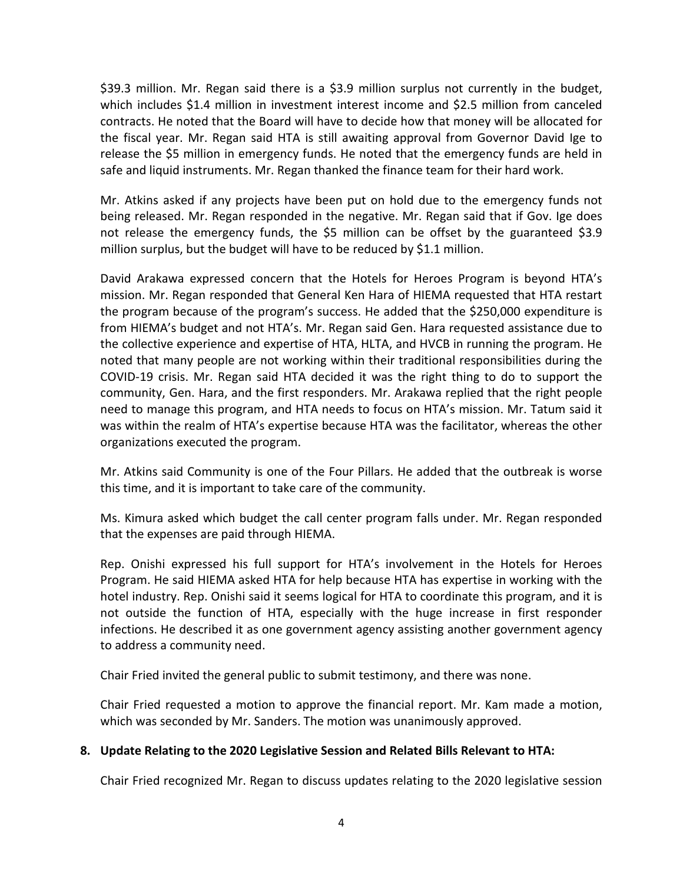\$39.3 million. Mr. Regan said there is a \$3.9 million surplus not currently in the budget, which includes \$1.4 million in investment interest income and \$2.5 million from canceled contracts. He noted that the Board will have to decide how that money will be allocated for the fiscal year. Mr. Regan said HTA is still awaiting approval from Governor David Ige to release the \$5 million in emergency funds. He noted that the emergency funds are held in safe and liquid instruments. Mr. Regan thanked the finance team for their hard work.

Mr. Atkins asked if any projects have been put on hold due to the emergency funds not being released. Mr. Regan responded in the negative. Mr. Regan said that if Gov. Ige does not release the emergency funds, the \$5 million can be offset by the guaranteed \$3.9 million surplus, but the budget will have to be reduced by \$1.1 million.

David Arakawa expressed concern that the Hotels for Heroes Program is beyond HTA's mission. Mr. Regan responded that General Ken Hara of HIEMA requested that HTA restart the program because of the program's success. He added that the \$250,000 expenditure is from HIEMA's budget and not HTA's. Mr. Regan said Gen. Hara requested assistance due to the collective experience and expertise of HTA, HLTA, and HVCB in running the program. He noted that many people are not working within their traditional responsibilities during the COVID-19 crisis. Mr. Regan said HTA decided it was the right thing to do to support the community, Gen. Hara, and the first responders. Mr. Arakawa replied that the right people need to manage this program, and HTA needs to focus on HTA's mission. Mr. Tatum said it was within the realm of HTA's expertise because HTA was the facilitator, whereas the other organizations executed the program.

Mr. Atkins said Community is one of the Four Pillars. He added that the outbreak is worse this time, and it is important to take care of the community.

Ms. Kimura asked which budget the call center program falls under. Mr. Regan responded that the expenses are paid through HIEMA.

Rep. Onishi expressed his full support for HTA's involvement in the Hotels for Heroes Program. He said HIEMA asked HTA for help because HTA has expertise in working with the hotel industry. Rep. Onishi said it seems logical for HTA to coordinate this program, and it is not outside the function of HTA, especially with the huge increase in first responder infections. He described it as one government agency assisting another government agency to address a community need.

Chair Fried invited the general public to submit testimony, and there was none.

Chair Fried requested a motion to approve the financial report. Mr. Kam made a motion, which was seconded by Mr. Sanders. The motion was unanimously approved.

## **8. Update Relating to the 2020 Legislative Session and Related Bills Relevant to HTA:**

Chair Fried recognized Mr. Regan to discuss updates relating to the 2020 legislative session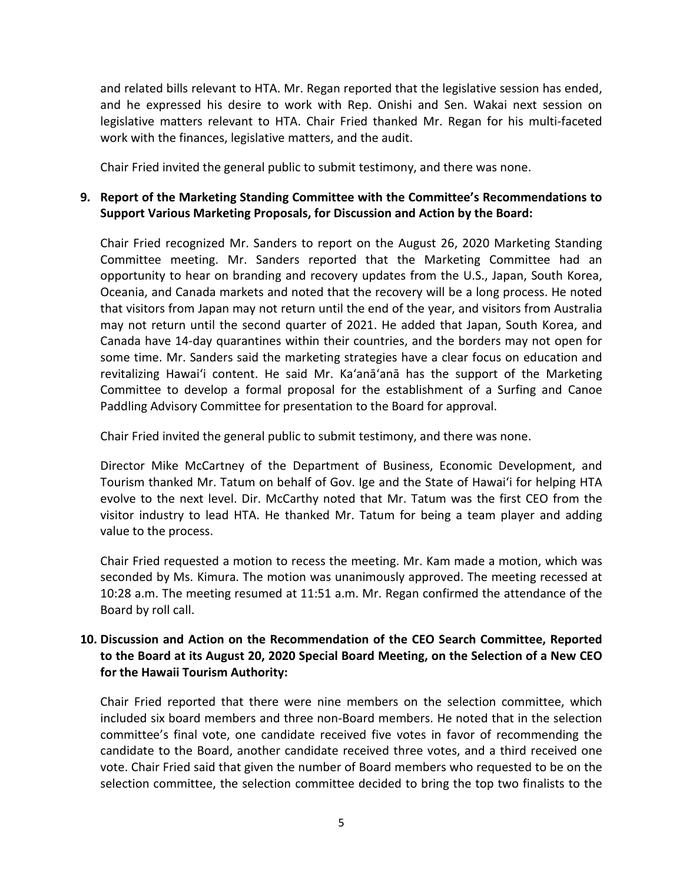and related bills relevant to HTA. Mr. Regan reported that the legislative session has ended, and he expressed his desire to work with Rep. Onishi and Sen. Wakai next session on legislative matters relevant to HTA. Chair Fried thanked Mr. Regan for his multi-faceted work with the finances, legislative matters, and the audit.

Chair Fried invited the general public to submit testimony, and there was none.

### **9. Report of the Marketing Standing Committee with the Committee's Recommendations to Support Various Marketing Proposals, for Discussion and Action by the Board:**

Chair Fried recognized Mr. Sanders to report on the August 26, 2020 Marketing Standing Committee meeting. Mr. Sanders reported that the Marketing Committee had an opportunity to hear on branding and recovery updates from the U.S., Japan, South Korea, Oceania, and Canada markets and noted that the recovery will be a long process. He noted that visitors from Japan may not return until the end of the year, and visitors from Australia may not return until the second quarter of 2021. He added that Japan, South Korea, and Canada have 14-day quarantines within their countries, and the borders may not open for some time. Mr. Sanders said the marketing strategies have a clear focus on education and revitalizing Hawai'i content. He said Mr. Ka'anā'anā has the support of the Marketing Committee to develop a formal proposal for the establishment of a Surfing and Canoe Paddling Advisory Committee for presentation to the Board for approval.

Chair Fried invited the general public to submit testimony, and there was none.

Director Mike McCartney of the Department of Business, Economic Development, and Tourism thanked Mr. Tatum on behalf of Gov. Ige and the State of Hawai'i for helping HTA evolve to the next level. Dir. McCarthy noted that Mr. Tatum was the first CEO from the visitor industry to lead HTA. He thanked Mr. Tatum for being a team player and adding value to the process.

Chair Fried requested a motion to recess the meeting. Mr. Kam made a motion, which was seconded by Ms. Kimura. The motion was unanimously approved. The meeting recessed at 10:28 a.m. The meeting resumed at 11:51 a.m. Mr. Regan confirmed the attendance of the Board by roll call.

### **10. Discussion and Action on the Recommendation of the CEO Search Committee, Reported to the Board at its August 20, 2020 Special Board Meeting, on the Selection of a New CEO for the Hawaii Tourism Authority:**

Chair Fried reported that there were nine members on the selection committee, which included six board members and three non-Board members. He noted that in the selection committee's final vote, one candidate received five votes in favor of recommending the candidate to the Board, another candidate received three votes, and a third received one vote. Chair Fried said that given the number of Board members who requested to be on the selection committee, the selection committee decided to bring the top two finalists to the